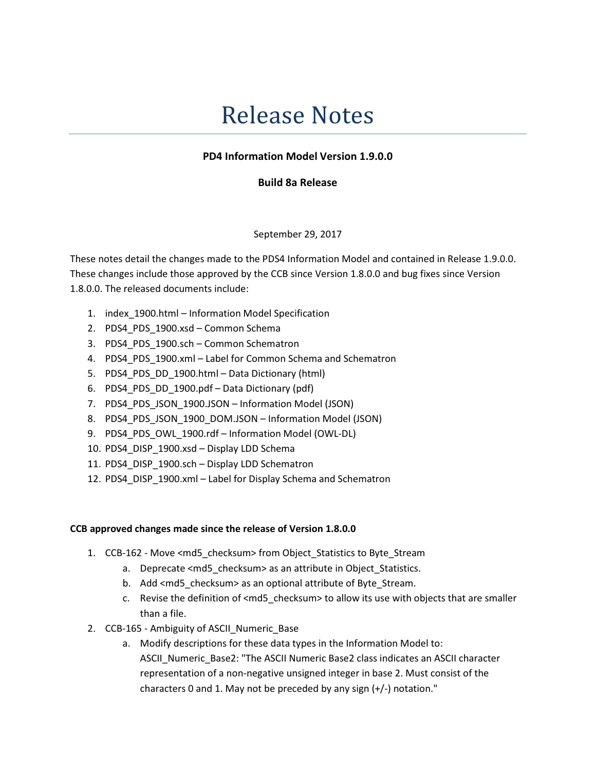# Release Notes

## PD4 Information Model Version 1.9.0.0

## Build 8a Release

## September 29, 2017

These notes detail the changes made to the PDS4 Information Model and contained in Release 1.9.0.0. These changes include those approved by the CCB since Version 1.8.0.0 and bug fixes since Version 1.8.0.0. The released documents include:

- 1. index\_1900.html Information Model Specification
- 2. PDS4 PDS 1900.xsd Common Schema
- 3. PDS4 PDS 1900.sch Common Schematron
- 4. PDS4\_PDS\_1900.xml Label for Common Schema and Schematron
- 5. PDS4\_PDS\_DD\_1900.html Data Dictionary (html)
- 6. PDS4\_PDS\_DD\_1900.pdf Data Dictionary (pdf)
- 7. PDS4 PDS JSON 1900.JSON Information Model (JSON)
- 8. PDS4\_PDS\_JSON\_1900\_DOM.JSON Information Model (JSON)
- 9. PDS4\_PDS\_OWL\_1900.rdf Information Model (OWL-DL)
- 10. PDS4\_DISP\_1900.xsd Display LDD Schema
- 11. PDS4\_DISP\_1900.sch Display LDD Schematron
- 12. PDS4\_DISP\_1900.xml Label for Display Schema and Schematron

### CCB approved changes made since the release of Version 1.8.0.0

- 1. CCB-162 Move <md5 checksum> from Object Statistics to Byte Stream
	- a. Deprecate <md5\_checksum> as an attribute in Object\_Statistics.
	- b. Add <md5\_checksum> as an optional attribute of Byte\_Stream.
	- c. Revise the definition of <md5\_checksum> to allow its use with objects that are smaller than a file.
- 2. CCB-165 Ambiguity of ASCII\_Numeric\_Base
	- a. Modify descriptions for these data types in the Information Model to: ASCII\_Numeric\_Base2: "The ASCII Numeric Base2 class indicates an ASCII character representation of a non-negative unsigned integer in base 2. Must consist of the characters 0 and 1. May not be preceded by any sign (+/-) notation."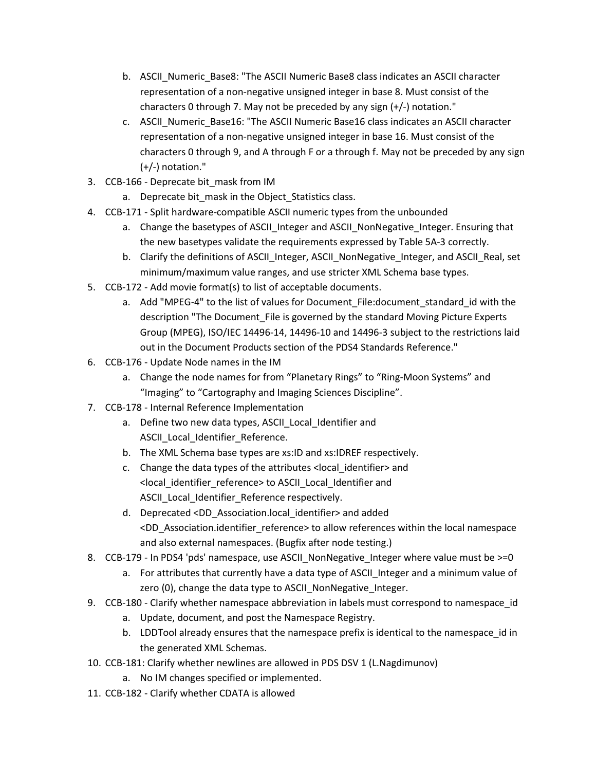- b. ASCII\_Numeric\_Base8: "The ASCII Numeric Base8 class indicates an ASCII character representation of a non-negative unsigned integer in base 8. Must consist of the characters 0 through 7. May not be preceded by any sign (+/-) notation."
- c. ASCII\_Numeric\_Base16: "The ASCII Numeric Base16 class indicates an ASCII character representation of a non-negative unsigned integer in base 16. Must consist of the characters 0 through 9, and A through F or a through f. May not be preceded by any sign (+/-) notation."
- 3. CCB-166 Deprecate bit\_mask from IM
	- a. Deprecate bit mask in the Object Statistics class.
- 4. CCB-171 Split hardware-compatible ASCII numeric types from the unbounded
	- a. Change the basetypes of ASCII Integer and ASCII NonNegative Integer. Ensuring that the new basetypes validate the requirements expressed by Table 5A-3 correctly.
	- b. Clarify the definitions of ASCII\_Integer, ASCII\_NonNegative\_Integer, and ASCII\_Real, set minimum/maximum value ranges, and use stricter XML Schema base types.
- 5. CCB-172 Add movie format(s) to list of acceptable documents.
	- a. Add "MPEG-4" to the list of values for Document File:document standard id with the description "The Document\_File is governed by the standard Moving Picture Experts Group (MPEG), ISO/IEC 14496-14, 14496-10 and 14496-3 subject to the restrictions laid out in the Document Products section of the PDS4 Standards Reference."
- 6. CCB-176 Update Node names in the IM
	- a. Change the node names for from "Planetary Rings" to "Ring-Moon Systems" and "Imaging" to "Cartography and Imaging Sciences Discipline".
- 7. CCB-178 Internal Reference Implementation
	- a. Define two new data types, ASCII Local Identifier and ASCII\_Local\_Identifier\_Reference.
	- b. The XML Schema base types are xs:ID and xs:IDREF respectively.
	- c. Change the data types of the attributes < local identifier> and <local\_identifier\_reference> to ASCII\_Local\_Identifier and ASCII\_Local\_Identifier\_Reference respectively.
	- d. Deprecated <DD\_Association.local\_identifier> and added <DD\_Association.identifier\_reference> to allow references within the local namespace and also external namespaces. (Bugfix after node testing.)
- 8. CCB-179 In PDS4 'pds' namespace, use ASCII NonNegative Integer where value must be  $>=0$ 
	- a. For attributes that currently have a data type of ASCII Integer and a minimum value of zero (0), change the data type to ASCII\_NonNegative\_Integer.
- 9. CCB-180 Clarify whether namespace abbreviation in labels must correspond to namespace id
	- a. Update, document, and post the Namespace Registry.
	- b. LDDTool already ensures that the namespace prefix is identical to the namespace id in the generated XML Schemas.
- 10. CCB-181: Clarify whether newlines are allowed in PDS DSV 1 (L.Nagdimunov)
	- a. No IM changes specified or implemented.
- 11. CCB-182 Clarify whether CDATA is allowed